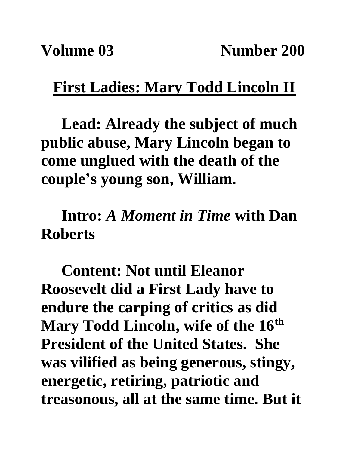## **First Ladies: Mary Todd Lincoln II**

**Lead: Already the subject of much public abuse, Mary Lincoln began to come unglued with the death of the couple's young son, William.**

**Intro:** *A Moment in Time* **with Dan Roberts**

**Content: Not until Eleanor Roosevelt did a First Lady have to endure the carping of critics as did Mary Todd Lincoln, wife of the 16th President of the United States. She was vilified as being generous, stingy, energetic, retiring, patriotic and treasonous, all at the same time. But it**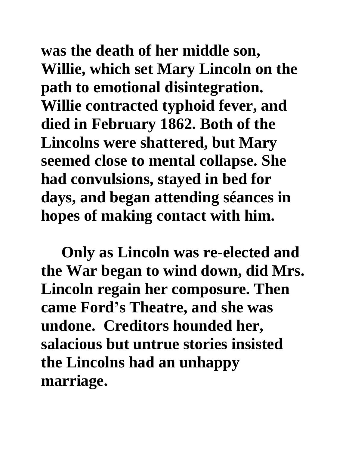**was the death of her middle son, Willie, which set Mary Lincoln on the path to emotional disintegration. Willie contracted typhoid fever, and died in February 1862. Both of the Lincolns were shattered, but Mary seemed close to mental collapse. She had convulsions, stayed in bed for days, and began attending séances in hopes of making contact with him.**

**Only as Lincoln was re-elected and the War began to wind down, did Mrs. Lincoln regain her composure. Then came Ford's Theatre, and she was undone. Creditors hounded her, salacious but untrue stories insisted the Lincolns had an unhappy marriage.**